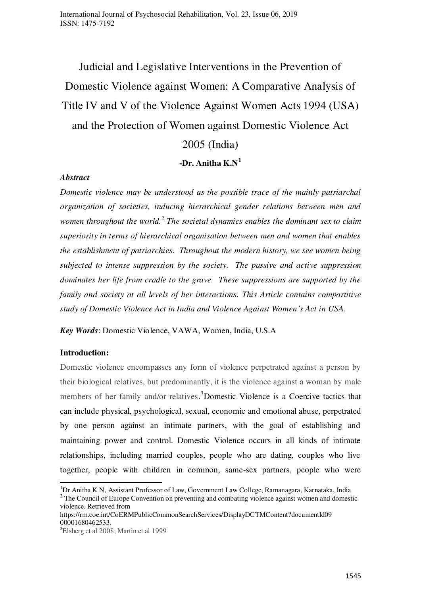Judicial and Legislative Interventions in the Prevention of Domestic Violence against Women: A Comparative Analysis of Title IV and V of the Violence Against Women Acts 1994 (USA) and the Protection of Women against Domestic Violence Act

2005 (India)

**-Dr. Anitha K.N<sup>1</sup>**

### *Abstract*

*Domestic violence may be understood as the possible trace of the mainly patriarchal organization of societies, inducing hierarchical gender relations between men and*  women throughout the world.<sup>2</sup> The societal dynamics enables the dominant sex to claim *superiority in terms of hierarchical organisation between men and women that enables the establishment of patriarchies. Throughout the modern history, we see women being subjected to intense suppression by the society. The passive and active suppression dominates her life from cradle to the grave. These suppressions are supported by the family and society at all levels of her interactions. This Article contains compartitive study of Domestic Violence Act in India and Violence Against Women's Act in USA.* 

*Key Words*: Domestic Violence, VAWA, Women, India, U.S.A

## **Introduction:**

.

Domestic violence encompasses any form of violence perpetrated against a person by their biological relatives, but predominantly, it is the violence against a woman by male members of her family and/or relatives. <sup>3</sup>Domestic Violence is a Coercive tactics that can include physical, psychological, sexual, economic and emotional abuse, perpetrated by one person against an intimate partners, with the goal of establishing and maintaining power and control. Domestic Violence occurs in all kinds of intimate relationships, including married couples, people who are dating, couples who live together, people with children in common, same-sex partners, people who were

<sup>&</sup>lt;sup>1</sup>Dr Anitha K N, Assistant Professor of Law, Government Law College, Ramanagara, Karnataka, India

 $2$  The Council of Europe Convention on preventing and combating violence against women and domestic violence. Retrieved from

https://rm.coe.int/CoERMPublicCommonSearchServices/DisplayDCTMContent?documentId09 00001680462533.

<sup>3</sup>Elsberg et al 2008; Martin et al 1999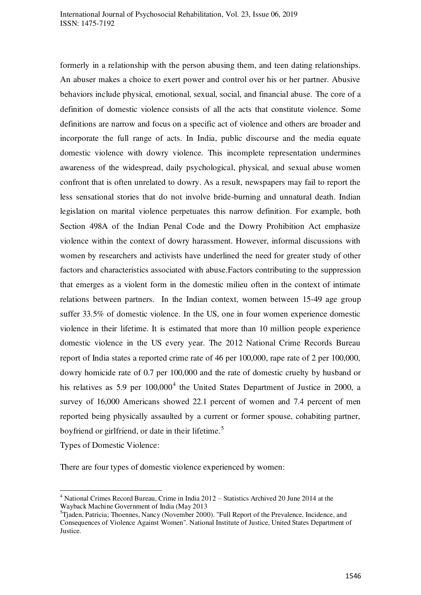formerly in a relationship with the person abusing them, and teen dating relationships. An abuser makes a choice to exert power and control over his or her partner. Abusive behaviors include physical, emotional, sexual, social, and financial abuse. The core of a definition of domestic violence consists of all the acts that constitute violence. Some definitions are narrow and focus on a specific act of violence and others are broader and incorporate the full range of acts. In India, public discourse and the media equate domestic violence with dowry violence. This incomplete representation undermines awareness of the widespread, daily psychological, physical, and sexual abuse women confront that is often unrelated to dowry. As a result, newspapers may fail to report the less sensational stories that do not involve bride-burning and unnatural death. Indian legislation on marital violence perpetuates this narrow definition. For example, both Section 498A of the Indian Penal Code and the Dowry Prohibition Act emphasize violence within the context of dowry harassment. However, informal discussions with women by researchers and activists have underlined the need for greater study of other factors and characteristics associated with abuse.Factors contributing to the suppression that emerges as a violent form in the domestic milieu often in the context of intimate relations between partners. In the Indian context, women between 15-49 age group suffer 33.5% of domestic violence. In the US, one in four women experience domestic violence in their lifetime. It is estimated that more than 10 million people experience domestic violence in the US every year. The 2012 National Crime Records Bureau report of India states a reported crime rate of 46 per 100,000, rape rate of 2 per 100,000, dowry homicide rate of 0.7 per 100,000 and the rate of domestic cruelty by husband or his relatives as 5.9 per  $100,000^4$  the United States Department of Justice in 2000, a survey of 16,000 Americans showed 22.1 percent of women and 7.4 percent of men reported being physically assaulted by a current or former spouse, cohabiting partner, boyfriend or girlfriend, or date in their lifetime.<sup>5</sup>

Types of Domestic Violence:

.

There are four types of domestic violence experienced by women:

<sup>&</sup>lt;sup>4</sup> National Crimes Record Bureau, Crime in India 2012 – Statistics Archived 20 June 2014 at the Wayback Machine Government of India (May 2013

<sup>&</sup>lt;sup>5</sup>Tjaden, Patricia; Thoennes, Nancy (November 2000). "Full Report of the Prevalence, Incidence, and Consequences of Violence Against Women". National Institute of Justice, United States Department of Justice.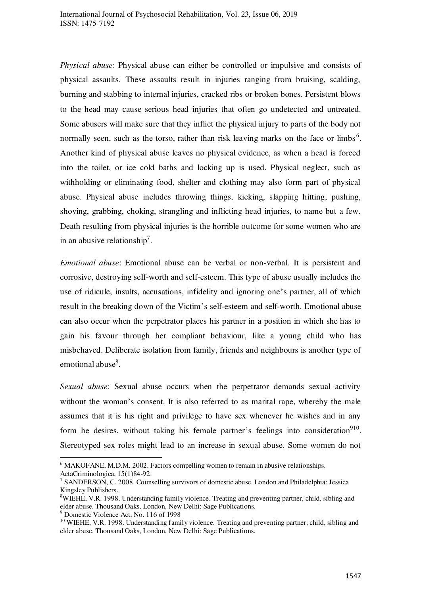*Physical abuse*: Physical abuse can either be controlled or impulsive and consists of physical assaults. These assaults result in injuries ranging from bruising, scalding, burning and stabbing to internal injuries, cracked ribs or broken bones. Persistent blows to the head may cause serious head injuries that often go undetected and untreated. Some abusers will make sure that they inflict the physical injury to parts of the body not normally seen, such as the torso, rather than risk leaving marks on the face or limbs<sup>6</sup>. Another kind of physical abuse leaves no physical evidence, as when a head is forced into the toilet, or ice cold baths and locking up is used. Physical neglect, such as withholding or eliminating food, shelter and clothing may also form part of physical abuse. Physical abuse includes throwing things, kicking, slapping hitting, pushing, shoving, grabbing, choking, strangling and inflicting head injuries, to name but a few. Death resulting from physical injuries is the horrible outcome for some women who are in an abusive relationship<sup>7</sup>.

*Emotional abuse*: Emotional abuse can be verbal or non-verbal. It is persistent and corrosive, destroying self-worth and self-esteem. This type of abuse usually includes the use of ridicule, insults, accusations, infidelity and ignoring one's partner, all of which result in the breaking down of the Victim's self-esteem and self-worth. Emotional abuse can also occur when the perpetrator places his partner in a position in which she has to gain his favour through her compliant behaviour, like a young child who has misbehaved. Deliberate isolation from family, friends and neighbours is another type of emotional abuse<sup>8</sup>.

*Sexual abuse*: Sexual abuse occurs when the perpetrator demands sexual activity without the woman's consent. It is also referred to as marital rape, whereby the male assumes that it is his right and privilege to have sex whenever he wishes and in any form he desires, without taking his female partner's feelings into consideration $910$ . Stereotyped sex roles might lead to an increase in sexual abuse. Some women do not

.

<sup>&</sup>lt;sup>6</sup> MAKOFANE, M.D.M. 2002. Factors compelling women to remain in abusive relationships.

ActaCriminologica, 15(1)84-92.<br><sup>7</sup> SANDERSON, C. 2008. Counselling survivors of domestic abuse. London and Philadelphia: Jessica Kingsley Publishers.

 $8$ WIEHE, V.R. 1998. Understanding family violence. Treating and preventing partner, child, sibling and elder abuse. Thousand Oaks, London, New Delhi: Sage Publications.

<sup>9</sup> Domestic Violence Act, No. 116 of 1998

<sup>&</sup>lt;sup>10</sup> WIEHE, V.R. 1998. Understanding family violence. Treating and preventing partner, child, sibling and elder abuse. Thousand Oaks, London, New Delhi: Sage Publications.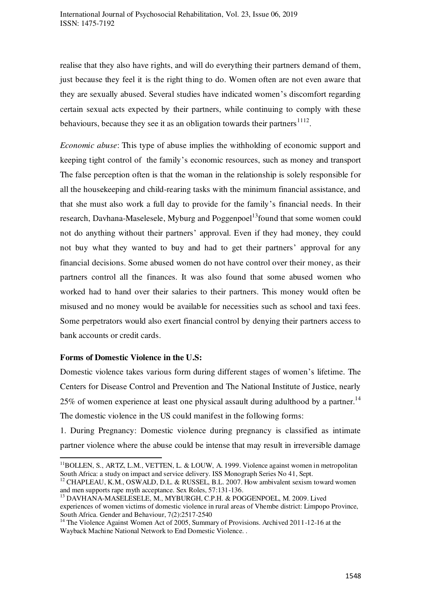realise that they also have rights, and will do everything their partners demand of them, just because they feel it is the right thing to do. Women often are not even aware that they are sexually abused. Several studies have indicated women's discomfort regarding certain sexual acts expected by their partners, while continuing to comply with these behaviours, because they see it as an obligation towards their partners  $1112$ .

*Economic abuse*: This type of abuse implies the withholding of economic support and keeping tight control of the family's economic resources, such as money and transport The false perception often is that the woman in the relationship is solely responsible for all the housekeeping and child-rearing tasks with the minimum financial assistance, and that she must also work a full day to provide for the family's financial needs. In their research, Davhana-Maselesele, Myburg and Poggenpoel<sup>13</sup> found that some women could not do anything without their partners' approval. Even if they had money, they could not buy what they wanted to buy and had to get their partners' approval for any financial decisions. Some abused women do not have control over their money, as their partners control all the finances. It was also found that some abused women who worked had to hand over their salaries to their partners. This money would often be misused and no money would be available for necessities such as school and taxi fees. Some perpetrators would also exert financial control by denying their partners access to bank accounts or credit cards.

#### **Forms of Domestic Violence in the U.S:**

.

Domestic violence takes various form during different stages of women's lifetime. The Centers for Disease Control and Prevention and The National Institute of Justice, nearly 25% of women experience at least one physical assault during adulthood by a partner.<sup>14</sup> The domestic violence in the US could manifest in the following forms:

1. During Pregnancy: Domestic violence during pregnancy is classified as intimate partner violence where the abuse could be intense that may result in irreversible damage

 $<sup>11</sup>$ BOLLEN, S., ARTZ, L.M., VETTEN, L. & LOUW, A. 1999. Violence against women in metropolitan</sup> South Africa: a study on impact and service delivery. ISS Monograph Series No 41, Sept.

 $12$  CHAPLEAU, K.M., OSWALD, D.L. & RUSSEL, B.L. 2007. How ambivalent sexism toward women and men supports rape myth acceptance. Sex Roles, 57:131-136.

<sup>13</sup> DAVHANA-MASELESELE, M., MYBURGH, C.P.H. & POGGENPOEL, M. 2009. Lived experiences of women victims of domestic violence in rural areas of Vhembe district: Limpopo Province, South Africa. Gender and Behaviour, 7(2):2517-2540

<sup>&</sup>lt;sup>14</sup> The Violence Against Women Act of 2005, Summary of Provisions. Archived 2011-12-16 at the Wayback Machine National Network to End Domestic Violence. .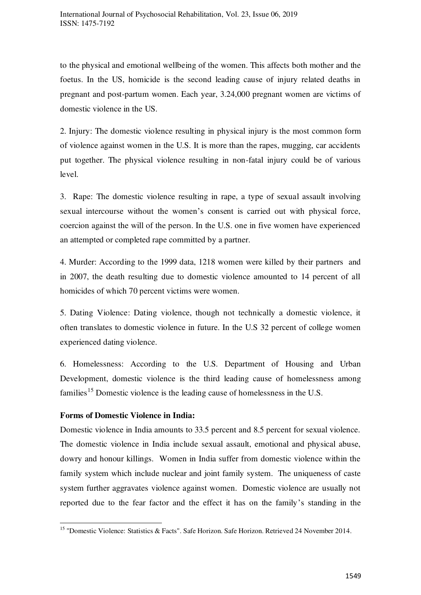to the physical and emotional wellbeing of the women. This affects both mother and the foetus. In the US, homicide is the second leading cause of injury related deaths in pregnant and post-partum women. Each year, 3.24,000 pregnant women are victims of domestic violence in the US.

2. Injury: The domestic violence resulting in physical injury is the most common form of violence against women in the U.S. It is more than the rapes, mugging, car accidents put together. The physical violence resulting in non-fatal injury could be of various level.

3. Rape: The domestic violence resulting in rape, a type of sexual assault involving sexual intercourse without the women's consent is carried out with physical force, coercion against the will of the person. In the U.S. one in five women have experienced an attempted or completed rape committed by a partner.

4. Murder: According to the 1999 data, 1218 women were killed by their partners and in 2007, the death resulting due to domestic violence amounted to 14 percent of all homicides of which 70 percent victims were women.

5. Dating Violence: Dating violence, though not technically a domestic violence, it often translates to domestic violence in future. In the U.S 32 percent of college women experienced dating violence.

6. Homelessness: According to the U.S. Department of Housing and Urban Development, domestic violence is the third leading cause of homelessness among families<sup>15</sup> Domestic violence is the leading cause of homelessness in the U.S.

## **Forms of Domestic Violence in India:**

.

Domestic violence in India amounts to 33.5 percent and 8.5 percent for sexual violence. The domestic violence in India include sexual assault, emotional and physical abuse, dowry and honour killings. Women in India suffer from domestic violence within the family system which include nuclear and joint family system. The uniqueness of caste system further aggravates violence against women. Domestic violence are usually not reported due to the fear factor and the effect it has on the family's standing in the

<sup>&</sup>lt;sup>15</sup> "Domestic Violence: Statistics & Facts". Safe Horizon. Safe Horizon. Retrieved 24 November 2014.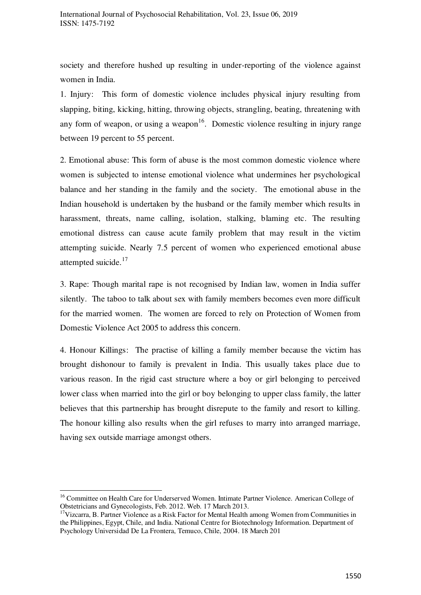society and therefore hushed up resulting in under-reporting of the violence against women in India.

1. Injury: This form of domestic violence includes physical injury resulting from slapping, biting, kicking, hitting, throwing objects, strangling, beating, threatening with any form of weapon, or using a weapon $16$ . Domestic violence resulting in injury range between 19 percent to 55 percent.

2. Emotional abuse: This form of abuse is the most common domestic violence where women is subjected to intense emotional violence what undermines her psychological balance and her standing in the family and the society. The emotional abuse in the Indian household is undertaken by the husband or the family member which results in harassment, threats, name calling, isolation, stalking, blaming etc. The resulting emotional distress can cause acute family problem that may result in the victim attempting suicide. Nearly 7.5 percent of women who experienced emotional abuse attempted suicide.<sup>17</sup>

3. Rape: Though marital rape is not recognised by Indian law, women in India suffer silently. The taboo to talk about sex with family members becomes even more difficult for the married women. The women are forced to rely on Protection of Women from Domestic Violence Act 2005 to address this concern.

4. Honour Killings: The practise of killing a family member because the victim has brought dishonour to family is prevalent in India. This usually takes place due to various reason. In the rigid cast structure where a boy or girl belonging to perceived lower class when married into the girl or boy belonging to upper class family, the latter believes that this partnership has brought disrepute to the family and resort to killing. The honour killing also results when the girl refuses to marry into arranged marriage, having sex outside marriage amongst others.

.

<sup>&</sup>lt;sup>16</sup> Committee on Health Care for Underserved Women. Intimate Partner Violence. American College of Obstetricians and Gynecologists, Feb. 2012. Web. 17 March 2013.

 $17$ Vizcarra, B. Partner Violence as a Risk Factor for Mental Health among Women from Communities in the Philippines, Egypt, Chile, and India. National Centre for Biotechnology Information. Department of Psychology Universidad De La Frontera, Temuco, Chile, 2004. 18 March 201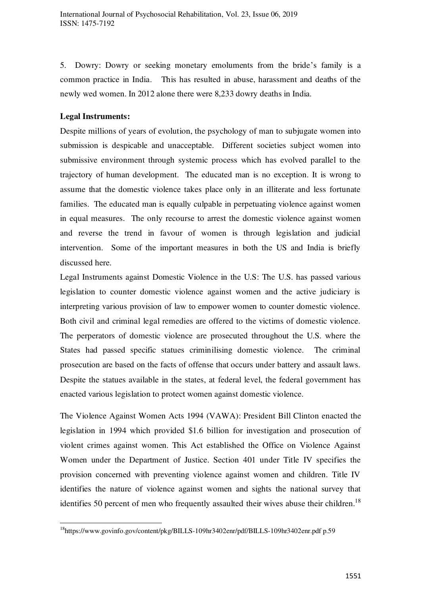5. Dowry: Dowry or seeking monetary emoluments from the bride's family is a common practice in India. This has resulted in abuse, harassment and deaths of the newly wed women. In 2012 alone there were 8,233 dowry deaths in India.

# **Legal Instruments:**

.

Despite millions of years of evolution, the psychology of man to subjugate women into submission is despicable and unacceptable. Different societies subject women into submissive environment through systemic process which has evolved parallel to the trajectory of human development. The educated man is no exception. It is wrong to assume that the domestic violence takes place only in an illiterate and less fortunate families. The educated man is equally culpable in perpetuating violence against women in equal measures. The only recourse to arrest the domestic violence against women and reverse the trend in favour of women is through legislation and judicial intervention. Some of the important measures in both the US and India is briefly discussed here.

Legal Instruments against Domestic Violence in the U.S: The U.S. has passed various legislation to counter domestic violence against women and the active judiciary is interpreting various provision of law to empower women to counter domestic violence. Both civil and criminal legal remedies are offered to the victims of domestic violence. The perperators of domestic violence are prosecuted throughout the U.S. where the States had passed specific statues criminilising domestic violence. The criminal prosecution are based on the facts of offense that occurs under battery and assault laws. Despite the statues available in the states, at federal level, the federal government has enacted various legislation to protect women against domestic violence.

The Violence Against Women Acts 1994 (VAWA): President Bill Clinton enacted the legislation in 1994 which provided \$1.6 billion for investigation and prosecution of violent crimes against women. This Act established the Office on Violence Against Women under the Department of Justice. Section 401 under Title IV specifies the provision concerned with preventing violence against women and children. Title IV identifies the nature of violence against women and sights the national survey that identifies 50 percent of men who frequently assaulted their wives abuse their children.<sup>18</sup>

<sup>18</sup><https://www.govinfo.gov/content/pkg/BILLS-109hr3402enr/pdf/BILLS-109hr3402enr.pdf>p.59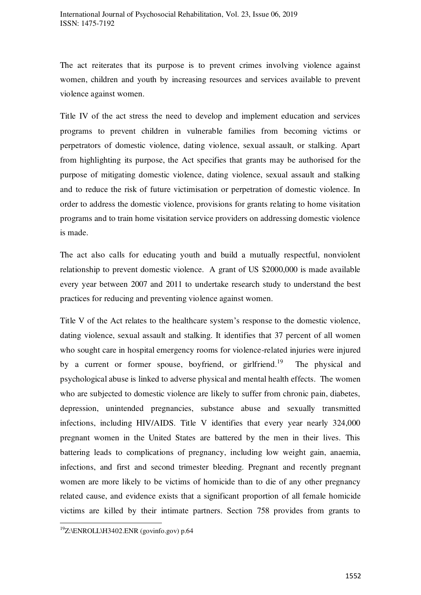The act reiterates that its purpose is to prevent crimes involving violence against women, children and youth by increasing resources and services available to prevent violence against women.

Title IV of the act stress the need to develop and implement education and services programs to prevent children in vulnerable families from becoming victims or perpetrators of domestic violence, dating violence, sexual assault, or stalking. Apart from highlighting its purpose, the Act specifies that grants may be authorised for the purpose of mitigating domestic violence, dating violence, sexual assault and stalking and to reduce the risk of future victimisation or perpetration of domestic violence. In order to address the domestic violence, provisions for grants relating to home visitation programs and to train home visitation service providers on addressing domestic violence is made.

The act also calls for educating youth and build a mutually respectful, nonviolent relationship to prevent domestic violence. A grant of US \$2000,000 is made available every year between 2007 and 2011 to undertake research study to understand the best practices for reducing and preventing violence against women.

Title V of the Act relates to the healthcare system's response to the domestic violence, dating violence, sexual assault and stalking. It identifies that 37 percent of all women who sought care in hospital emergency rooms for violence-related injuries were injured by a current or former spouse, boyfriend, or girlfriend.<sup>19</sup> The physical and psychological abuse is linked to adverse physical and mental health effects. The women who are subjected to domestic violence are likely to suffer from chronic pain, diabetes, depression, unintended pregnancies, substance abuse and sexually transmitted infections, including HIV/AIDS. Title V identifies that every year nearly 324,000 pregnant women in the United States are battered by the men in their lives. This battering leads to complications of pregnancy, including low weight gain, anaemia, infections, and first and second trimester bleeding. Pregnant and recently pregnant women are more likely to be victims of homicide than to die of any other pregnancy related cause, and evidence exists that a significant proportion of all female homicide victims are killed by their intimate partners. Section 758 provides from grants to

.

 $19Z$ :\ENROLL\H3402.ENR (govinfo.gov) p.64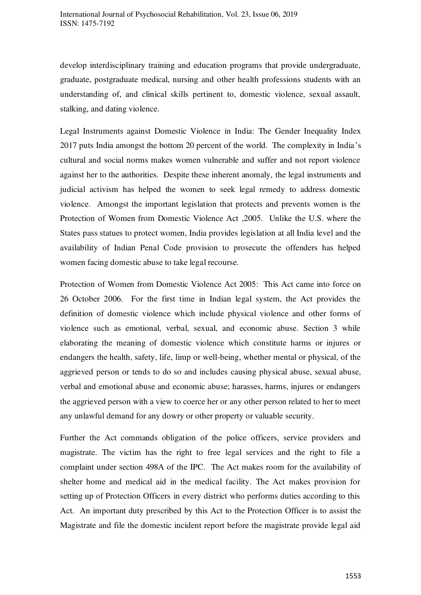develop interdisciplinary training and education programs that provide undergraduate, graduate, postgraduate medical, nursing and other health professions students with an understanding of, and clinical skills pertinent to, domestic violence, sexual assault, stalking, and dating violence.

Legal Instruments against Domestic Violence in India: The Gender Inequality Index 2017 puts India amongst the bottom 20 percent of the world. The complexity in India's cultural and social norms makes women vulnerable and suffer and not report violence against her to the authorities. Despite these inherent anomaly, the legal instruments and judicial activism has helped the women to seek legal remedy to address domestic violence. Amongst the important legislation that protects and prevents women is the Protection of Women from Domestic Violence Act ,2005. Unlike the U.S. where the States pass statues to protect women, India provides legislation at all India level and the availability of Indian Penal Code provision to prosecute the offenders has helped women facing domestic abuse to take legal recourse.

Protection of Women from Domestic Violence Act 2005: This Act came into force on 26 October 2006. For the first time in Indian legal system, the Act provides the definition of domestic violence which include physical violence and other forms of violence such as emotional, verbal, sexual, and economic abuse. Section 3 while elaborating the meaning of domestic violence which constitute harms or injures or endangers the health, safety, life, limp or well-being, whether mental or physical, of the aggrieved person or tends to do so and includes causing physical abuse, sexual abuse, verbal and emotional abuse and economic abuse; harasses, harms, injures or endangers the aggrieved person with a view to coerce her or any other person related to her to meet any unlawful demand for any dowry or other property or valuable security.

Further the Act commands obligation of the police officers, service providers and magistrate. The victim has the right to free legal services and the right to file a complaint under section 498A of the IPC. The Act makes room for the availability of shelter home and medical aid in the medical facility. The Act makes provision for setting up of Protection Officers in every district who performs duties according to this Act. An important duty prescribed by this Act to the Protection Officer is to assist the Magistrate and file the domestic incident report before the magistrate provide legal aid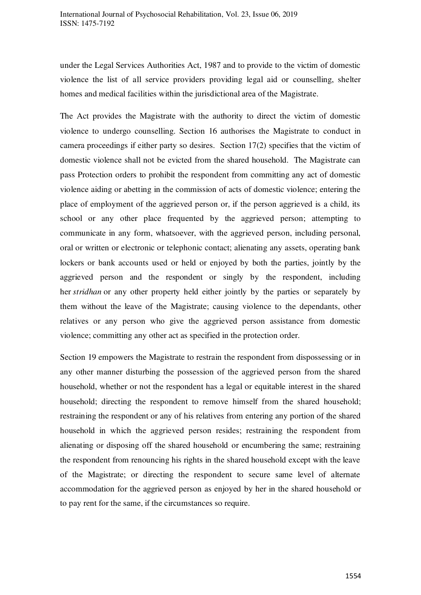under the Legal Services Authorities Act, 1987 and to provide to the victim of domestic violence the list of all service providers providing legal aid or counselling, shelter homes and medical facilities within the jurisdictional area of the Magistrate.

The Act provides the Magistrate with the authority to direct the victim of domestic violence to undergo counselling. Section 16 authorises the Magistrate to conduct in camera proceedings if either party so desires. Section 17(2) specifies that the victim of domestic violence shall not be evicted from the shared household. The Magistrate can pass Protection orders to prohibit the respondent from committing any act of domestic violence aiding or abetting in the commission of acts of domestic violence; entering the place of employment of the aggrieved person or, if the person aggrieved is a child, its school or any other place frequented by the aggrieved person; attempting to communicate in any form, whatsoever, with the aggrieved person, including personal, oral or written or electronic or telephonic contact; alienating any assets, operating bank lockers or bank accounts used or held or enjoyed by both the parties, jointly by the aggrieved person and the respondent or singly by the respondent, including her *stridhan* or any other property held either jointly by the parties or separately by them without the leave of the Magistrate; causing violence to the dependants, other relatives or any person who give the aggrieved person assistance from domestic violence; committing any other act as specified in the protection order.

Section 19 empowers the Magistrate to restrain the respondent from dispossessing or in any other manner disturbing the possession of the aggrieved person from the shared household, whether or not the respondent has a legal or equitable interest in the shared household; directing the respondent to remove himself from the shared household; restraining the respondent or any of his relatives from entering any portion of the shared household in which the aggrieved person resides; restraining the respondent from alienating or disposing off the shared household or encumbering the same; restraining the respondent from renouncing his rights in the shared household except with the leave of the Magistrate; or directing the respondent to secure same level of alternate accommodation for the aggrieved person as enjoyed by her in the shared household or to pay rent for the same, if the circumstances so require.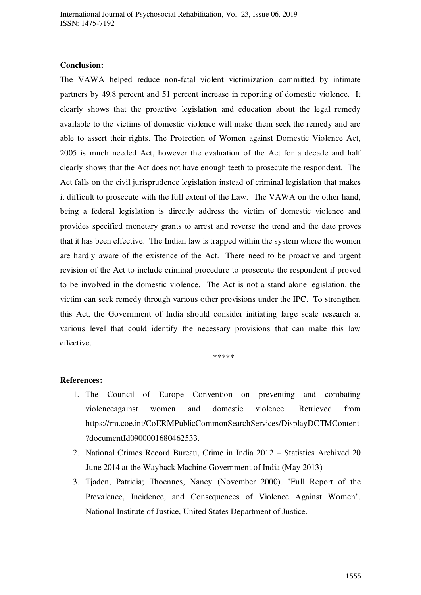#### **Conclusion:**

The VAWA helped reduce non-fatal violent victimization committed by intimate partners by 49.8 percent and 51 percent increase in reporting of domestic violence. It clearly shows that the proactive legislation and education about the legal remedy available to the victims of domestic violence will make them seek the remedy and are able to assert their rights. The Protection of Women against Domestic Violence Act, 2005 is much needed Act, however the evaluation of the Act for a decade and half clearly shows that the Act does not have enough teeth to prosecute the respondent. The Act falls on the civil jurisprudence legislation instead of criminal legislation that makes it difficult to prosecute with the full extent of the Law. The VAWA on the other hand, being a federal legislation is directly address the victim of domestic violence and provides specified monetary grants to arrest and reverse the trend and the date proves that it has been effective. The Indian law is trapped within the system where the women are hardly aware of the existence of the Act. There need to be proactive and urgent revision of the Act to include criminal procedure to prosecute the respondent if proved to be involved in the domestic violence. The Act is not a stand alone legislation, the victim can seek remedy through various other provisions under the IPC. To strengthen this Act, the Government of India should consider initiating large scale research at various level that could identify the necessary provisions that can make this law effective.

\*\*\*\*\*

#### **References:**

- 1. The Council of Europe Convention on preventing and combating violenceagainst women and domestic violence. Retrieved from https://rm.coe.int/CoERMPublicCommonSearchServices/DisplayDCTMContent ?documentId0900001680462533.
- 2. National Crimes Record Bureau, Crime in India 2012 Statistics Archived 20 June 2014 at the Wayback Machine Government of India (May 2013)
- 3. Tjaden, Patricia; Thoennes, Nancy (November 2000). "Full Report of the Prevalence, Incidence, and Consequences of Violence Against Women". National Institute of Justice, United States Department of Justice.